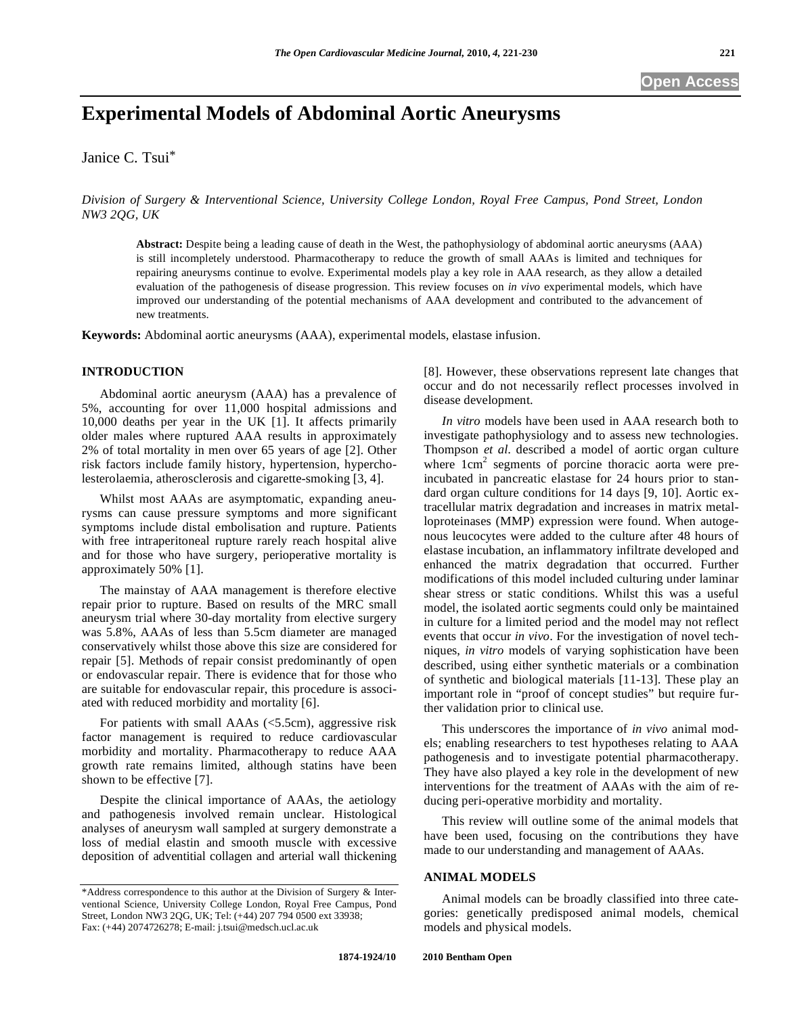# **Experimental Models of Abdominal Aortic Aneurysms**

Janice C. Tsui\*

*Division of Surgery & Interventional Science, University College London, Royal Free Campus, Pond Street, London NW3 2QG, UK* 

**Abstract:** Despite being a leading cause of death in the West, the pathophysiology of abdominal aortic aneurysms (AAA) is still incompletely understood. Pharmacotherapy to reduce the growth of small AAAs is limited and techniques for repairing aneurysms continue to evolve. Experimental models play a key role in AAA research, as they allow a detailed evaluation of the pathogenesis of disease progression. This review focuses on *in vivo* experimental models, which have improved our understanding of the potential mechanisms of AAA development and contributed to the advancement of new treatments.

**Keywords:** Abdominal aortic aneurysms (AAA), experimental models, elastase infusion.

## **INTRODUCTION**

 Abdominal aortic aneurysm (AAA) has a prevalence of 5%, accounting for over 11,000 hospital admissions and 10,000 deaths per year in the UK [1]. It affects primarily older males where ruptured AAA results in approximately 2% of total mortality in men over 65 years of age [2]. Other risk factors include family history, hypertension, hypercholesterolaemia, atherosclerosis and cigarette-smoking [3, 4].

 Whilst most AAAs are asymptomatic, expanding aneurysms can cause pressure symptoms and more significant symptoms include distal embolisation and rupture. Patients with free intraperitoneal rupture rarely reach hospital alive and for those who have surgery, perioperative mortality is approximately 50% [1].

 The mainstay of AAA management is therefore elective repair prior to rupture. Based on results of the MRC small aneurysm trial where 30-day mortality from elective surgery was 5.8%, AAAs of less than 5.5cm diameter are managed conservatively whilst those above this size are considered for repair [5]. Methods of repair consist predominantly of open or endovascular repair. There is evidence that for those who are suitable for endovascular repair, this procedure is associated with reduced morbidity and mortality [6].

For patients with small  $AAAs$  ( $\leq$ 5.5cm), aggressive risk factor management is required to reduce cardiovascular morbidity and mortality. Pharmacotherapy to reduce AAA growth rate remains limited, although statins have been shown to be effective [7].

 Despite the clinical importance of AAAs, the aetiology and pathogenesis involved remain unclear. Histological analyses of aneurysm wall sampled at surgery demonstrate a loss of medial elastin and smooth muscle with excessive deposition of adventitial collagen and arterial wall thickening

[8]. However, these observations represent late changes that occur and do not necessarily reflect processes involved in disease development.

 *In vitro* models have been used in AAA research both to investigate pathophysiology and to assess new technologies. Thompson *et al*. described a model of aortic organ culture where 1cm<sup>2</sup> segments of porcine thoracic aorta were preincubated in pancreatic elastase for 24 hours prior to standard organ culture conditions for 14 days [9, 10]. Aortic extracellular matrix degradation and increases in matrix metalloproteinases (MMP) expression were found. When autogenous leucocytes were added to the culture after 48 hours of elastase incubation, an inflammatory infiltrate developed and enhanced the matrix degradation that occurred. Further modifications of this model included culturing under laminar shear stress or static conditions. Whilst this was a useful model, the isolated aortic segments could only be maintained in culture for a limited period and the model may not reflect events that occur *in vivo*. For the investigation of novel techniques, *in vitro* models of varying sophistication have been described, using either synthetic materials or a combination of synthetic and biological materials [11-13]. These play an important role in "proof of concept studies" but require further validation prior to clinical use.

 This underscores the importance of *in vivo* animal models; enabling researchers to test hypotheses relating to AAA pathogenesis and to investigate potential pharmacotherapy. They have also played a key role in the development of new interventions for the treatment of AAAs with the aim of reducing peri-operative morbidity and mortality.

 This review will outline some of the animal models that have been used, focusing on the contributions they have made to our understanding and management of AAAs.

# **ANIMAL MODELS**

 Animal models can be broadly classified into three categories: genetically predisposed animal models, chemical models and physical models.

<sup>\*</sup>Address correspondence to this author at the Division of Surgery & Interventional Science, University College London, Royal Free Campus, Pond Street, London NW3 2QG, UK; Tel: (+44) 207 794 0500 ext 33938; Fax: (+44) 2074726278; E-mail: j.tsui@medsch.ucl.ac.uk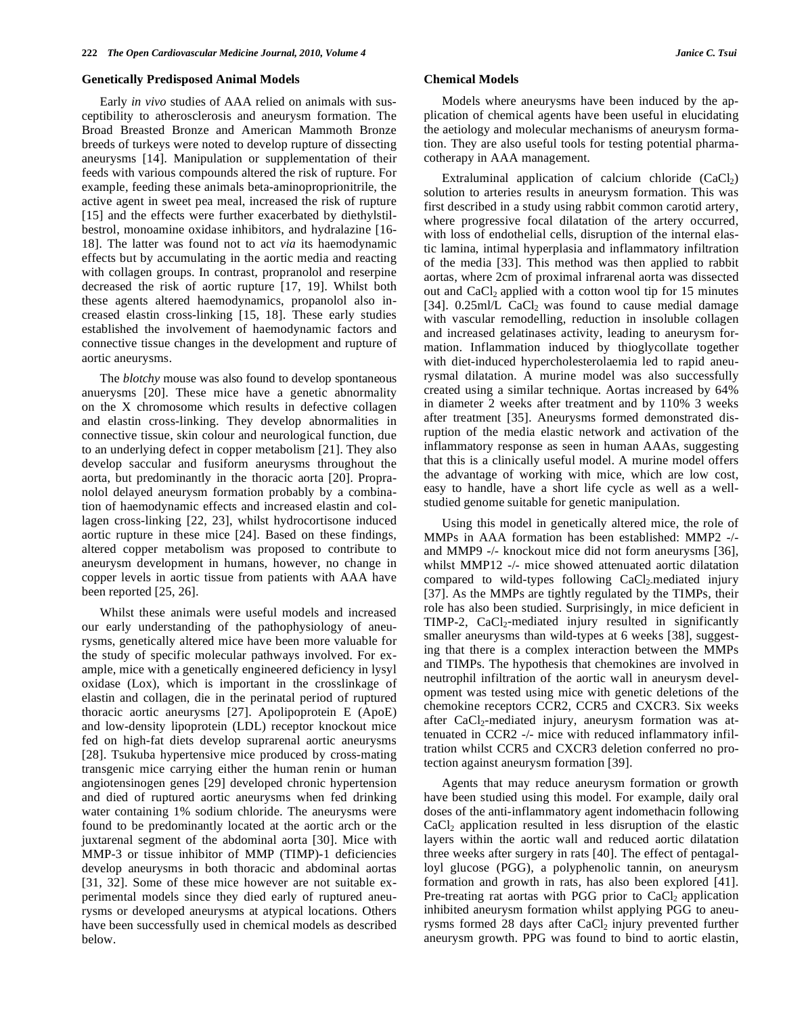### **Genetically Predisposed Animal Models**

 Early *in vivo* studies of AAA relied on animals with susceptibility to atherosclerosis and aneurysm formation. The Broad Breasted Bronze and American Mammoth Bronze breeds of turkeys were noted to develop rupture of dissecting aneurysms [14]. Manipulation or supplementation of their feeds with various compounds altered the risk of rupture. For example, feeding these animals beta-aminoproprionitrile, the active agent in sweet pea meal, increased the risk of rupture [15] and the effects were further exacerbated by diethylstilbestrol, monoamine oxidase inhibitors, and hydralazine [16- 18]. The latter was found not to act *via* its haemodynamic effects but by accumulating in the aortic media and reacting with collagen groups. In contrast, propranolol and reserpine decreased the risk of aortic rupture [17, 19]. Whilst both these agents altered haemodynamics, propanolol also increased elastin cross-linking [15, 18]. These early studies established the involvement of haemodynamic factors and connective tissue changes in the development and rupture of aortic aneurysms.

 The *blotchy* mouse was also found to develop spontaneous anuerysms [20]. These mice have a genetic abnormality on the X chromosome which results in defective collagen and elastin cross-linking. They develop abnormalities in connective tissue, skin colour and neurological function, due to an underlying defect in copper metabolism [21]. They also develop saccular and fusiform aneurysms throughout the aorta, but predominantly in the thoracic aorta [20]. Propranolol delayed aneurysm formation probably by a combination of haemodynamic effects and increased elastin and collagen cross-linking [22, 23], whilst hydrocortisone induced aortic rupture in these mice [24]. Based on these findings, altered copper metabolism was proposed to contribute to aneurysm development in humans, however, no change in copper levels in aortic tissue from patients with AAA have been reported [25, 26].

 Whilst these animals were useful models and increased our early understanding of the pathophysiology of aneurysms, genetically altered mice have been more valuable for the study of specific molecular pathways involved. For example, mice with a genetically engineered deficiency in lysyl oxidase (Lox), which is important in the crosslinkage of elastin and collagen, die in the perinatal period of ruptured thoracic aortic aneurysms [27]. Apolipoprotein E (ApoE) and low-density lipoprotein (LDL) receptor knockout mice fed on high-fat diets develop suprarenal aortic aneurysms [28]. Tsukuba hypertensive mice produced by cross-mating transgenic mice carrying either the human renin or human angiotensinogen genes [29] developed chronic hypertension and died of ruptured aortic aneurysms when fed drinking water containing 1% sodium chloride. The aneurysms were found to be predominantly located at the aortic arch or the juxtarenal segment of the abdominal aorta [30]. Mice with MMP-3 or tissue inhibitor of MMP (TIMP)-1 deficiencies develop aneurysms in both thoracic and abdominal aortas [31, 32]. Some of these mice however are not suitable experimental models since they died early of ruptured aneurysms or developed aneurysms at atypical locations. Others have been successfully used in chemical models as described below.

# **Chemical Models**

 Models where aneurysms have been induced by the application of chemical agents have been useful in elucidating the aetiology and molecular mechanisms of aneurysm formation. They are also useful tools for testing potential pharmacotherapy in AAA management.

Extraluminal application of calcium chloride  $(CaCl<sub>2</sub>)$ solution to arteries results in aneurysm formation. This was first described in a study using rabbit common carotid artery, where progressive focal dilatation of the artery occurred, with loss of endothelial cells, disruption of the internal elastic lamina, intimal hyperplasia and inflammatory infiltration of the media [33]. This method was then applied to rabbit aortas, where 2cm of proximal infrarenal aorta was dissected out and  $CaCl<sub>2</sub>$  applied with a cotton wool tip for 15 minutes [34].  $0.25$ ml/L CaCl<sub>2</sub> was found to cause medial damage with vascular remodelling, reduction in insoluble collagen and increased gelatinases activity, leading to aneurysm formation. Inflammation induced by thioglycollate together with diet-induced hypercholesterolaemia led to rapid aneurysmal dilatation. A murine model was also successfully created using a similar technique. Aortas increased by 64% in diameter 2 weeks after treatment and by 110% 3 weeks after treatment [35]. Aneurysms formed demonstrated disruption of the media elastic network and activation of the inflammatory response as seen in human AAAs, suggesting that this is a clinically useful model. A murine model offers the advantage of working with mice, which are low cost, easy to handle, have a short life cycle as well as a wellstudied genome suitable for genetic manipulation.

 Using this model in genetically altered mice, the role of MMPs in AAA formation has been established: MMP2 -/ and MMP9 -/- knockout mice did not form aneurysms [36], whilst MMP12 -/- mice showed attenuated aortic dilatation compared to wild-types following  $CaCl<sub>2</sub>$ -mediated injury [37]. As the MMPs are tightly regulated by the TIMPs, their role has also been studied. Surprisingly, in mice deficient in TIMP-2,  $CaCl<sub>2</sub>$ -mediated injury resulted in significantly smaller aneurysms than wild-types at 6 weeks [38], suggesting that there is a complex interaction between the MMPs and TIMPs. The hypothesis that chemokines are involved in neutrophil infiltration of the aortic wall in aneurysm development was tested using mice with genetic deletions of the chemokine receptors CCR2, CCR5 and CXCR3. Six weeks after CaCl<sub>2</sub>-mediated injury, aneurysm formation was attenuated in CCR2 -/- mice with reduced inflammatory infiltration whilst CCR5 and CXCR3 deletion conferred no protection against aneurysm formation [39].

 Agents that may reduce aneurysm formation or growth have been studied using this model. For example, daily oral doses of the anti-inflammatory agent indomethacin following  $CaCl<sub>2</sub>$  application resulted in less disruption of the elastic layers within the aortic wall and reduced aortic dilatation three weeks after surgery in rats [40]. The effect of pentagalloyl glucose (PGG), a polyphenolic tannin, on aneurysm formation and growth in rats, has also been explored [41]. Pre-treating rat aortas with PGG prior to  $CaCl<sub>2</sub>$  application inhibited aneurysm formation whilst applying PGG to aneurysms formed 28 days after  $CaCl<sub>2</sub>$  injury prevented further aneurysm growth. PPG was found to bind to aortic elastin,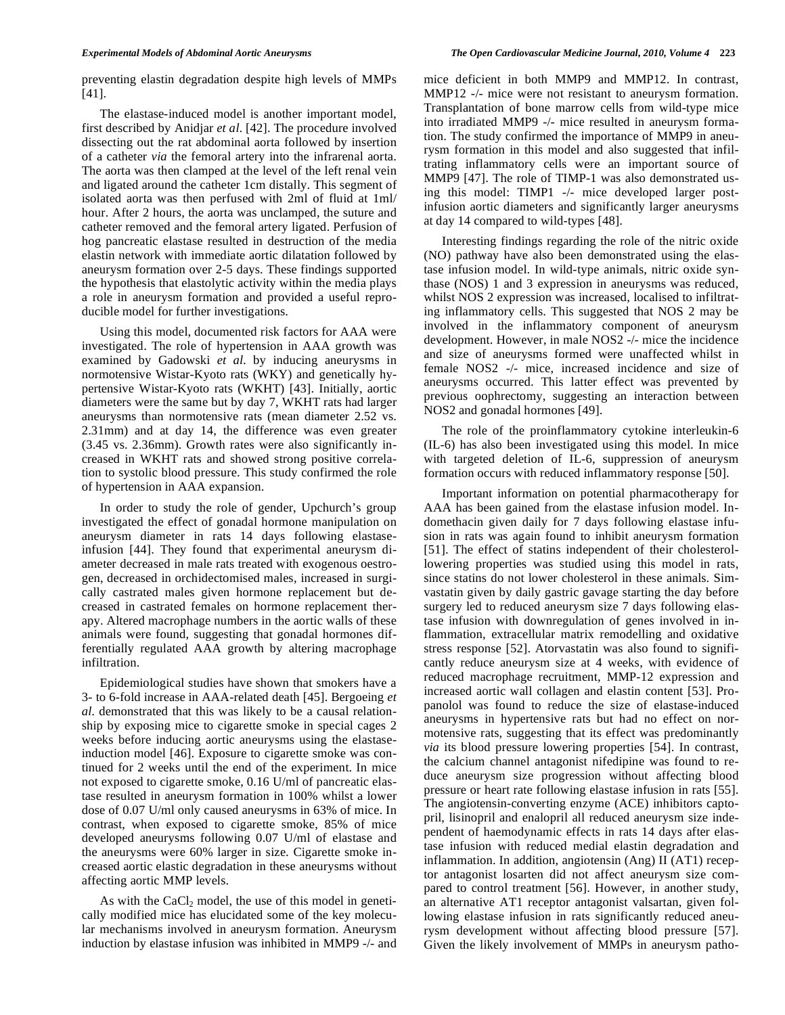preventing elastin degradation despite high levels of MMPs [41].

 The elastase-induced model is another important model, first described by Anidjar *et al*. [42]. The procedure involved dissecting out the rat abdominal aorta followed by insertion of a catheter *via* the femoral artery into the infrarenal aorta. The aorta was then clamped at the level of the left renal vein and ligated around the catheter 1cm distally. This segment of isolated aorta was then perfused with 2ml of fluid at 1ml/ hour. After 2 hours, the aorta was unclamped, the suture and catheter removed and the femoral artery ligated. Perfusion of hog pancreatic elastase resulted in destruction of the media elastin network with immediate aortic dilatation followed by aneurysm formation over 2-5 days. These findings supported the hypothesis that elastolytic activity within the media plays a role in aneurysm formation and provided a useful reproducible model for further investigations.

 Using this model, documented risk factors for AAA were investigated. The role of hypertension in AAA growth was examined by Gadowski *et al*. by inducing aneurysms in normotensive Wistar-Kyoto rats (WKY) and genetically hypertensive Wistar-Kyoto rats (WKHT) [43]. Initially, aortic diameters were the same but by day 7, WKHT rats had larger aneurysms than normotensive rats (mean diameter 2.52 vs. 2.31mm) and at day 14, the difference was even greater (3.45 vs. 2.36mm). Growth rates were also significantly increased in WKHT rats and showed strong positive correlation to systolic blood pressure. This study confirmed the role of hypertension in AAA expansion.

 In order to study the role of gender, Upchurch's group investigated the effect of gonadal hormone manipulation on aneurysm diameter in rats 14 days following elastaseinfusion [44]. They found that experimental aneurysm diameter decreased in male rats treated with exogenous oestrogen, decreased in orchidectomised males, increased in surgically castrated males given hormone replacement but decreased in castrated females on hormone replacement therapy. Altered macrophage numbers in the aortic walls of these animals were found, suggesting that gonadal hormones differentially regulated AAA growth by altering macrophage infiltration.

 Epidemiological studies have shown that smokers have a 3- to 6-fold increase in AAA-related death [45]. Bergoeing *et al*. demonstrated that this was likely to be a causal relationship by exposing mice to cigarette smoke in special cages 2 weeks before inducing aortic aneurysms using the elastaseinduction model [46]. Exposure to cigarette smoke was continued for 2 weeks until the end of the experiment. In mice not exposed to cigarette smoke, 0.16 U/ml of pancreatic elastase resulted in aneurysm formation in 100% whilst a lower dose of 0.07 U/ml only caused aneurysms in 63% of mice. In contrast, when exposed to cigarette smoke, 85% of mice developed aneurysms following 0.07 U/ml of elastase and the aneurysms were 60% larger in size. Cigarette smoke increased aortic elastic degradation in these aneurysms without affecting aortic MMP levels.

As with the  $CaCl<sub>2</sub>$  model, the use of this model in genetically modified mice has elucidated some of the key molecular mechanisms involved in aneurysm formation. Aneurysm induction by elastase infusion was inhibited in MMP9 -/- and mice deficient in both MMP9 and MMP12. In contrast, MMP12 -/- mice were not resistant to aneurysm formation. Transplantation of bone marrow cells from wild-type mice into irradiated MMP9 -/- mice resulted in aneurysm formation. The study confirmed the importance of MMP9 in aneurysm formation in this model and also suggested that infiltrating inflammatory cells were an important source of MMP9 [47]. The role of TIMP-1 was also demonstrated using this model: TIMP1 -/- mice developed larger postinfusion aortic diameters and significantly larger aneurysms at day 14 compared to wild-types [48].

 Interesting findings regarding the role of the nitric oxide (NO) pathway have also been demonstrated using the elastase infusion model. In wild-type animals, nitric oxide synthase (NOS) 1 and 3 expression in aneurysms was reduced, whilst NOS 2 expression was increased, localised to infiltrating inflammatory cells. This suggested that NOS 2 may be involved in the inflammatory component of aneurysm development. However, in male NOS2 -/- mice the incidence and size of aneurysms formed were unaffected whilst in female NOS2 -/- mice, increased incidence and size of aneurysms occurred. This latter effect was prevented by previous oophrectomy, suggesting an interaction between NOS2 and gonadal hormones [49].

 The role of the proinflammatory cytokine interleukin-6 (IL-6) has also been investigated using this model. In mice with targeted deletion of IL-6, suppression of aneurysm formation occurs with reduced inflammatory response [50].

 Important information on potential pharmacotherapy for AAA has been gained from the elastase infusion model. Indomethacin given daily for 7 days following elastase infusion in rats was again found to inhibit aneurysm formation [51]. The effect of statins independent of their cholesterollowering properties was studied using this model in rats, since statins do not lower cholesterol in these animals. Simvastatin given by daily gastric gavage starting the day before surgery led to reduced aneurysm size 7 days following elastase infusion with downregulation of genes involved in inflammation, extracellular matrix remodelling and oxidative stress response [52]. Atorvastatin was also found to significantly reduce aneurysm size at 4 weeks, with evidence of reduced macrophage recruitment, MMP-12 expression and increased aortic wall collagen and elastin content [53]. Propanolol was found to reduce the size of elastase-induced aneurysms in hypertensive rats but had no effect on normotensive rats, suggesting that its effect was predominantly *via* its blood pressure lowering properties [54]. In contrast, the calcium channel antagonist nifedipine was found to reduce aneurysm size progression without affecting blood pressure or heart rate following elastase infusion in rats [55]. The angiotensin-converting enzyme (ACE) inhibitors captopril, lisinopril and enalopril all reduced aneurysm size independent of haemodynamic effects in rats 14 days after elastase infusion with reduced medial elastin degradation and inflammation. In addition, angiotensin (Ang) II (AT1) receptor antagonist losarten did not affect aneurysm size compared to control treatment [56]. However, in another study, an alternative AT1 receptor antagonist valsartan, given following elastase infusion in rats significantly reduced aneurysm development without affecting blood pressure [57]. Given the likely involvement of MMPs in aneurysm patho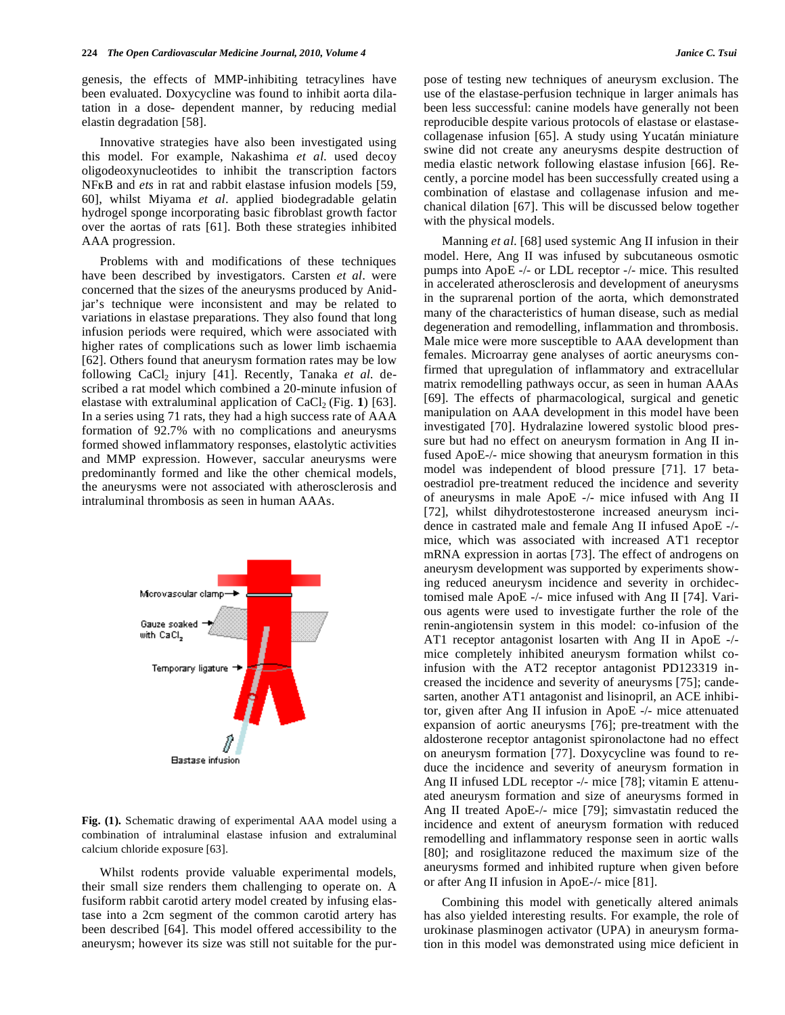genesis, the effects of MMP-inhibiting tetracylines have been evaluated. Doxycycline was found to inhibit aorta dilatation in a dose- dependent manner, by reducing medial elastin degradation [58].

 Innovative strategies have also been investigated using this model. For example, Nakashima *et al*. used decoy oligodeoxynucleotides to inhibit the transcription factors NFKB and *ets* in rat and rabbit elastase infusion models [59, 60], whilst Miyama *et al*. applied biodegradable gelatin hydrogel sponge incorporating basic fibroblast growth factor over the aortas of rats [61]. Both these strategies inhibited AAA progression.

 Problems with and modifications of these techniques have been described by investigators. Carsten *et al*. were concerned that the sizes of the aneurysms produced by Anidjar's technique were inconsistent and may be related to variations in elastase preparations. They also found that long infusion periods were required, which were associated with higher rates of complications such as lower limb ischaemia [62]. Others found that aneurysm formation rates may be low following CaCl<sub>2</sub> injury [41]. Recently, Tanaka et al. described a rat model which combined a 20-minute infusion of elastase with extraluminal application of  $CaCl<sub>2</sub>$  (Fig. 1) [63]. In a series using 71 rats, they had a high success rate of AAA formation of 92.7% with no complications and aneurysms formed showed inflammatory responses, elastolytic activities and MMP expression. However, saccular aneurysms were predominantly formed and like the other chemical models, the aneurysms were not associated with atherosclerosis and intraluminal thrombosis as seen in human AAAs.



**Fig. (1).** Schematic drawing of experimental AAA model using a combination of intraluminal elastase infusion and extraluminal calcium chloride exposure [63].

 Whilst rodents provide valuable experimental models, their small size renders them challenging to operate on. A fusiform rabbit carotid artery model created by infusing elastase into a 2cm segment of the common carotid artery has been described [64]. This model offered accessibility to the aneurysm; however its size was still not suitable for the purpose of testing new techniques of aneurysm exclusion. The use of the elastase-perfusion technique in larger animals has been less successful: canine models have generally not been reproducible despite various protocols of elastase or elastasecollagenase infusion [65]. A study using Yucatán miniature swine did not create any aneurysms despite destruction of media elastic network following elastase infusion [66]. Recently, a porcine model has been successfully created using a combination of elastase and collagenase infusion and mechanical dilation [67]. This will be discussed below together with the physical models.

 Manning *et al*. [68] used systemic Ang II infusion in their model. Here, Ang II was infused by subcutaneous osmotic pumps into ApoE -/- or LDL receptor -/- mice. This resulted in accelerated atherosclerosis and development of aneurysms in the suprarenal portion of the aorta, which demonstrated many of the characteristics of human disease, such as medial degeneration and remodelling, inflammation and thrombosis. Male mice were more susceptible to AAA development than females. Microarray gene analyses of aortic aneurysms confirmed that upregulation of inflammatory and extracellular matrix remodelling pathways occur, as seen in human AAAs [69]. The effects of pharmacological, surgical and genetic manipulation on AAA development in this model have been investigated [70]. Hydralazine lowered systolic blood pressure but had no effect on aneurysm formation in Ang II infused ApoE-/- mice showing that aneurysm formation in this model was independent of blood pressure [71]. 17 betaoestradiol pre-treatment reduced the incidence and severity of aneurysms in male ApoE -/- mice infused with Ang II [72], whilst dihydrotestosterone increased aneurysm incidence in castrated male and female Ang II infused ApoE -/ mice, which was associated with increased AT1 receptor mRNA expression in aortas [73]. The effect of androgens on aneurysm development was supported by experiments showing reduced aneurysm incidence and severity in orchidectomised male ApoE -/- mice infused with Ang II [74]. Various agents were used to investigate further the role of the renin-angiotensin system in this model: co-infusion of the AT1 receptor antagonist losarten with Ang II in ApoE -/ mice completely inhibited aneurysm formation whilst coinfusion with the AT2 receptor antagonist PD123319 increased the incidence and severity of aneurysms [75]; candesarten, another AT1 antagonist and lisinopril, an ACE inhibitor, given after Ang II infusion in ApoE -/- mice attenuated expansion of aortic aneurysms [76]; pre-treatment with the aldosterone receptor antagonist spironolactone had no effect on aneurysm formation [77]. Doxycycline was found to reduce the incidence and severity of aneurysm formation in Ang II infused LDL receptor -/- mice [78]; vitamin E attenuated aneurysm formation and size of aneurysms formed in Ang II treated ApoE-/- mice [79]; simvastatin reduced the incidence and extent of aneurysm formation with reduced remodelling and inflammatory response seen in aortic walls [80]; and rosiglitazone reduced the maximum size of the aneurysms formed and inhibited rupture when given before or after Ang II infusion in ApoE-/- mice [81].

 Combining this model with genetically altered animals has also yielded interesting results. For example, the role of urokinase plasminogen activator (UPA) in aneurysm formation in this model was demonstrated using mice deficient in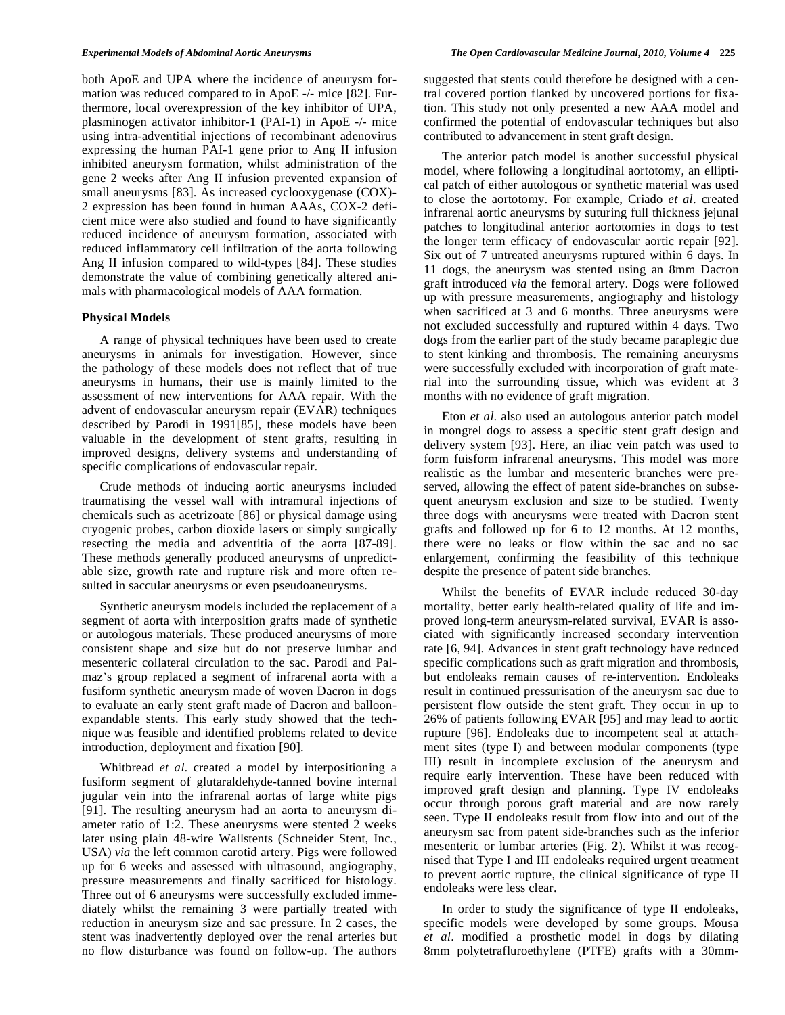both ApoE and UPA where the incidence of aneurysm formation was reduced compared to in ApoE -/- mice [82]. Furthermore, local overexpression of the key inhibitor of UPA, plasminogen activator inhibitor-1 (PAI-1) in ApoE -/- mice using intra-adventitial injections of recombinant adenovirus expressing the human PAI-1 gene prior to Ang II infusion inhibited aneurysm formation, whilst administration of the gene 2 weeks after Ang II infusion prevented expansion of small aneurysms [83]. As increased cyclooxygenase (COX)- 2 expression has been found in human AAAs, COX-2 deficient mice were also studied and found to have significantly reduced incidence of aneurysm formation, associated with reduced inflammatory cell infiltration of the aorta following Ang II infusion compared to wild-types [84]. These studies demonstrate the value of combining genetically altered animals with pharmacological models of AAA formation.

## **Physical Models**

 A range of physical techniques have been used to create aneurysms in animals for investigation. However, since the pathology of these models does not reflect that of true aneurysms in humans, their use is mainly limited to the assessment of new interventions for AAA repair. With the advent of endovascular aneurysm repair (EVAR) techniques described by Parodi in 1991[85], these models have been valuable in the development of stent grafts, resulting in improved designs, delivery systems and understanding of specific complications of endovascular repair.

 Crude methods of inducing aortic aneurysms included traumatising the vessel wall with intramural injections of chemicals such as acetrizoate [86] or physical damage using cryogenic probes, carbon dioxide lasers or simply surgically resecting the media and adventitia of the aorta [87-89]. These methods generally produced aneurysms of unpredictable size, growth rate and rupture risk and more often resulted in saccular aneurysms or even pseudoaneurysms.

 Synthetic aneurysm models included the replacement of a segment of aorta with interposition grafts made of synthetic or autologous materials. These produced aneurysms of more consistent shape and size but do not preserve lumbar and mesenteric collateral circulation to the sac. Parodi and Palmaz's group replaced a segment of infrarenal aorta with a fusiform synthetic aneurysm made of woven Dacron in dogs to evaluate an early stent graft made of Dacron and balloonexpandable stents. This early study showed that the technique was feasible and identified problems related to device introduction, deployment and fixation [90].

 Whitbread *et al*. created a model by interpositioning a fusiform segment of glutaraldehyde-tanned bovine internal jugular vein into the infrarenal aortas of large white pigs [91]. The resulting aneurysm had an aorta to aneurysm diameter ratio of 1:2. These aneurysms were stented 2 weeks later using plain 48-wire Wallstents (Schneider Stent, Inc., USA) *via* the left common carotid artery. Pigs were followed up for 6 weeks and assessed with ultrasound, angiography, pressure measurements and finally sacrificed for histology. Three out of 6 aneurysms were successfully excluded immediately whilst the remaining 3 were partially treated with reduction in aneurysm size and sac pressure. In 2 cases, the stent was inadvertently deployed over the renal arteries but no flow disturbance was found on follow-up. The authors

suggested that stents could therefore be designed with a central covered portion flanked by uncovered portions for fixation. This study not only presented a new AAA model and confirmed the potential of endovascular techniques but also contributed to advancement in stent graft design.

 The anterior patch model is another successful physical model, where following a longitudinal aortotomy, an elliptical patch of either autologous or synthetic material was used to close the aortotomy. For example, Criado *et al*. created infrarenal aortic aneurysms by suturing full thickness jejunal patches to longitudinal anterior aortotomies in dogs to test the longer term efficacy of endovascular aortic repair [92]. Six out of 7 untreated aneurysms ruptured within 6 days. In 11 dogs, the aneurysm was stented using an 8mm Dacron graft introduced *via* the femoral artery. Dogs were followed up with pressure measurements, angiography and histology when sacrificed at 3 and 6 months. Three aneurysms were not excluded successfully and ruptured within 4 days. Two dogs from the earlier part of the study became paraplegic due to stent kinking and thrombosis. The remaining aneurysms were successfully excluded with incorporation of graft material into the surrounding tissue, which was evident at 3 months with no evidence of graft migration.

 Eton *et al*. also used an autologous anterior patch model in mongrel dogs to assess a specific stent graft design and delivery system [93]. Here, an iliac vein patch was used to form fuisform infrarenal aneurysms. This model was more realistic as the lumbar and mesenteric branches were preserved, allowing the effect of patent side-branches on subsequent aneurysm exclusion and size to be studied. Twenty three dogs with aneurysms were treated with Dacron stent grafts and followed up for 6 to 12 months. At 12 months, there were no leaks or flow within the sac and no sac enlargement, confirming the feasibility of this technique despite the presence of patent side branches.

 Whilst the benefits of EVAR include reduced 30-day mortality, better early health-related quality of life and improved long-term aneurysm-related survival, EVAR is associated with significantly increased secondary intervention rate [6, 94]. Advances in stent graft technology have reduced specific complications such as graft migration and thrombosis, but endoleaks remain causes of re-intervention. Endoleaks result in continued pressurisation of the aneurysm sac due to persistent flow outside the stent graft. They occur in up to 26% of patients following EVAR [95] and may lead to aortic rupture [96]. Endoleaks due to incompetent seal at attachment sites (type I) and between modular components (type III) result in incomplete exclusion of the aneurysm and require early intervention. These have been reduced with improved graft design and planning. Type IV endoleaks occur through porous graft material and are now rarely seen. Type II endoleaks result from flow into and out of the aneurysm sac from patent side-branches such as the inferior mesenteric or lumbar arteries (Fig. **2**). Whilst it was recognised that Type I and III endoleaks required urgent treatment to prevent aortic rupture, the clinical significance of type II endoleaks were less clear.

 In order to study the significance of type II endoleaks, specific models were developed by some groups. Mousa *et al*. modified a prosthetic model in dogs by dilating 8mm polytetrafluroethylene (PTFE) grafts with a 30mm-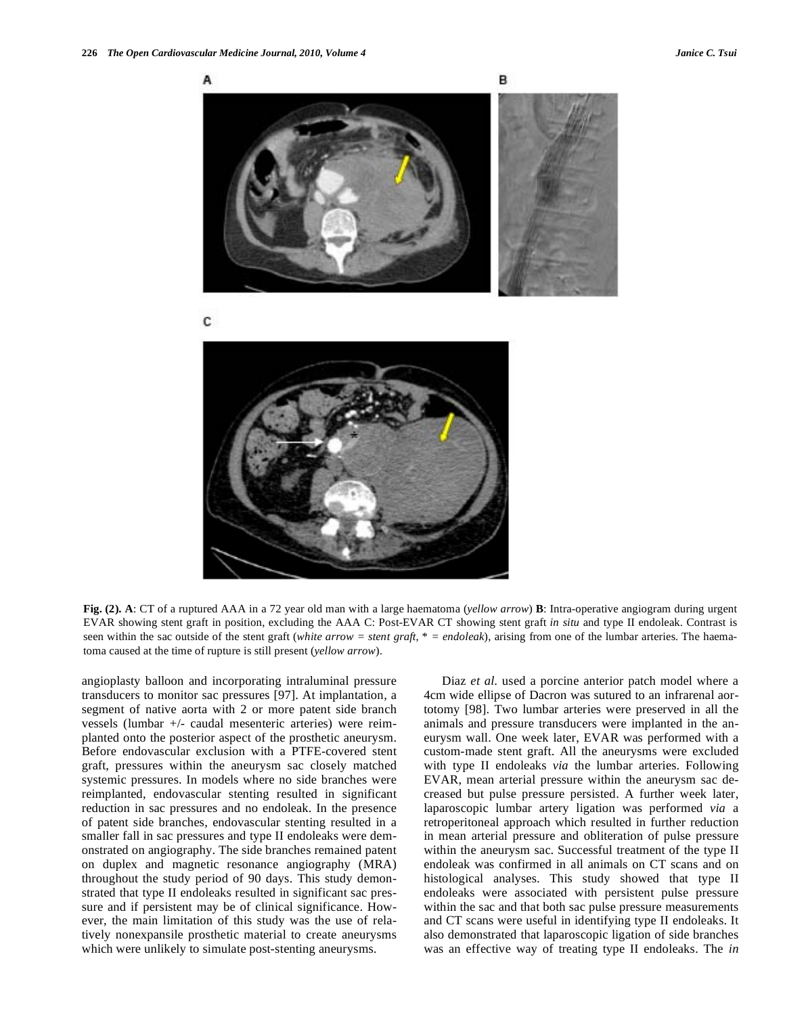

**Fig. (2). A**: CT of a ruptured AAA in a 72 year old man with a large haematoma (*yellow arrow*) **B**: Intra-operative angiogram during urgent EVAR showing stent graft in position, excluding the AAA C: Post-EVAR CT showing stent graft *in situ* and type II endoleak. Contrast is seen within the sac outside of the stent graft (*white arrow = stent graft*,  $* = endoleak$ ), arising from one of the lumbar arteries. The haematoma caused at the time of rupture is still present (*yellow arrow*).

angioplasty balloon and incorporating intraluminal pressure transducers to monitor sac pressures [97]. At implantation, a segment of native aorta with 2 or more patent side branch vessels (lumbar +/- caudal mesenteric arteries) were reimplanted onto the posterior aspect of the prosthetic aneurysm. Before endovascular exclusion with a PTFE-covered stent graft, pressures within the aneurysm sac closely matched systemic pressures. In models where no side branches were reimplanted, endovascular stenting resulted in significant reduction in sac pressures and no endoleak. In the presence of patent side branches, endovascular stenting resulted in a smaller fall in sac pressures and type II endoleaks were demonstrated on angiography. The side branches remained patent on duplex and magnetic resonance angiography (MRA) throughout the study period of 90 days. This study demonstrated that type II endoleaks resulted in significant sac pressure and if persistent may be of clinical significance. However, the main limitation of this study was the use of relatively nonexpansile prosthetic material to create aneurysms which were unlikely to simulate post-stenting aneurysms.

 Diaz *et al*. used a porcine anterior patch model where a 4cm wide ellipse of Dacron was sutured to an infrarenal aortotomy [98]. Two lumbar arteries were preserved in all the animals and pressure transducers were implanted in the aneurysm wall. One week later, EVAR was performed with a custom-made stent graft. All the aneurysms were excluded with type II endoleaks *via* the lumbar arteries. Following EVAR, mean arterial pressure within the aneurysm sac decreased but pulse pressure persisted. A further week later, laparoscopic lumbar artery ligation was performed *via* a retroperitoneal approach which resulted in further reduction in mean arterial pressure and obliteration of pulse pressure within the aneurysm sac. Successful treatment of the type II endoleak was confirmed in all animals on CT scans and on histological analyses. This study showed that type II endoleaks were associated with persistent pulse pressure within the sac and that both sac pulse pressure measurements and CT scans were useful in identifying type II endoleaks. It also demonstrated that laparoscopic ligation of side branches was an effective way of treating type II endoleaks. The *in*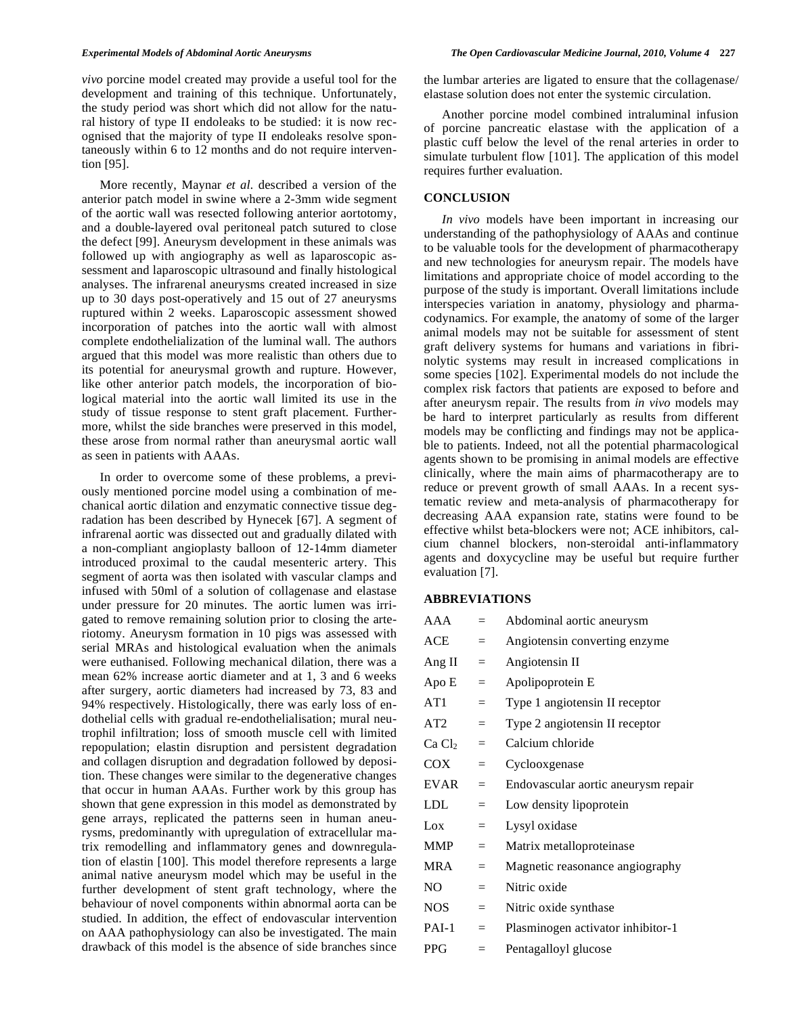*vivo* porcine model created may provide a useful tool for the development and training of this technique. Unfortunately, the study period was short which did not allow for the natural history of type II endoleaks to be studied: it is now recognised that the majority of type II endoleaks resolve spontaneously within 6 to 12 months and do not require intervention [95].

 More recently, Maynar *et al.* described a version of the anterior patch model in swine where a 2-3mm wide segment of the aortic wall was resected following anterior aortotomy, and a double-layered oval peritoneal patch sutured to close the defect [99]. Aneurysm development in these animals was followed up with angiography as well as laparoscopic assessment and laparoscopic ultrasound and finally histological analyses. The infrarenal aneurysms created increased in size up to 30 days post-operatively and 15 out of 27 aneurysms ruptured within 2 weeks. Laparoscopic assessment showed incorporation of patches into the aortic wall with almost complete endothelialization of the luminal wall. The authors argued that this model was more realistic than others due to its potential for aneurysmal growth and rupture. However, like other anterior patch models, the incorporation of biological material into the aortic wall limited its use in the study of tissue response to stent graft placement. Furthermore, whilst the side branches were preserved in this model, these arose from normal rather than aneurysmal aortic wall as seen in patients with AAAs.

 In order to overcome some of these problems, a previously mentioned porcine model using a combination of mechanical aortic dilation and enzymatic connective tissue degradation has been described by Hynecek [67]. A segment of infrarenal aortic was dissected out and gradually dilated with a non-compliant angioplasty balloon of 12-14mm diameter introduced proximal to the caudal mesenteric artery. This segment of aorta was then isolated with vascular clamps and infused with 50ml of a solution of collagenase and elastase under pressure for 20 minutes. The aortic lumen was irrigated to remove remaining solution prior to closing the arteriotomy. Aneurysm formation in 10 pigs was assessed with serial MRAs and histological evaluation when the animals were euthanised. Following mechanical dilation, there was a mean 62% increase aortic diameter and at 1, 3 and 6 weeks after surgery, aortic diameters had increased by 73, 83 and 94% respectively. Histologically, there was early loss of endothelial cells with gradual re-endothelialisation; mural neutrophil infiltration; loss of smooth muscle cell with limited repopulation; elastin disruption and persistent degradation and collagen disruption and degradation followed by deposition. These changes were similar to the degenerative changes that occur in human AAAs. Further work by this group has shown that gene expression in this model as demonstrated by gene arrays, replicated the patterns seen in human aneurysms, predominantly with upregulation of extracellular matrix remodelling and inflammatory genes and downregulation of elastin [100]. This model therefore represents a large animal native aneurysm model which may be useful in the further development of stent graft technology, where the behaviour of novel components within abnormal aorta can be studied. In addition, the effect of endovascular intervention on AAA pathophysiology can also be investigated. The main drawback of this model is the absence of side branches since

the lumbar arteries are ligated to ensure that the collagenase/ elastase solution does not enter the systemic circulation.

 Another porcine model combined intraluminal infusion of porcine pancreatic elastase with the application of a plastic cuff below the level of the renal arteries in order to simulate turbulent flow [101]. The application of this model requires further evaluation.

# **CONCLUSION**

 *In vivo* models have been important in increasing our understanding of the pathophysiology of AAAs and continue to be valuable tools for the development of pharmacotherapy and new technologies for aneurysm repair. The models have limitations and appropriate choice of model according to the purpose of the study is important. Overall limitations include interspecies variation in anatomy, physiology and pharmacodynamics. For example, the anatomy of some of the larger animal models may not be suitable for assessment of stent graft delivery systems for humans and variations in fibrinolytic systems may result in increased complications in some species [102]. Experimental models do not include the complex risk factors that patients are exposed to before and after aneurysm repair. The results from *in vivo* models may be hard to interpret particularly as results from different models may be conflicting and findings may not be applicable to patients. Indeed, not all the potential pharmacological agents shown to be promising in animal models are effective clinically, where the main aims of pharmacotherapy are to reduce or prevent growth of small AAAs. In a recent systematic review and meta-analysis of pharmacotherapy for decreasing AAA expansion rate, statins were found to be effective whilst beta-blockers were not; ACE inhibitors, calcium channel blockers, non-steroidal anti-inflammatory agents and doxycycline may be useful but require further evaluation [7].

# **ABBREVIATIONS**

| AAA             | $=$ | Abdominal aortic aneurysm           |
|-----------------|-----|-------------------------------------|
| ACE             | $=$ | Angiotensin converting enzyme       |
| Ang II          | $=$ | Angiotensin II                      |
| Apo E           | $=$ | Apolipoprotein E                    |
| AT1             | $=$ | Type 1 angiotensin II receptor      |
| AT2             | $=$ | Type 2 angiotensin II receptor      |
| Ca <sub>1</sub> | $=$ | Calcium chloride                    |
| COX             | $=$ | Cyclooxgenase                       |
| EVAR            | $=$ | Endovascular aortic aneurysm repair |
| <b>LDL</b>      | $=$ | Low density lipoprotein             |
| Lox             | $=$ | Lysyl oxidase                       |
| <b>MMP</b>      | $=$ | Matrix metalloproteinase            |
| <b>MRA</b>      | $=$ | Magnetic reasonance angiography     |
| N <sub>O</sub>  | $=$ | Nitric oxide                        |
| <b>NOS</b>      | $=$ | Nitric oxide synthase               |
| PAI-1           | $=$ | Plasminogen activator inhibitor-1   |
| <b>PPG</b>      | $=$ | Pentagalloyl glucose                |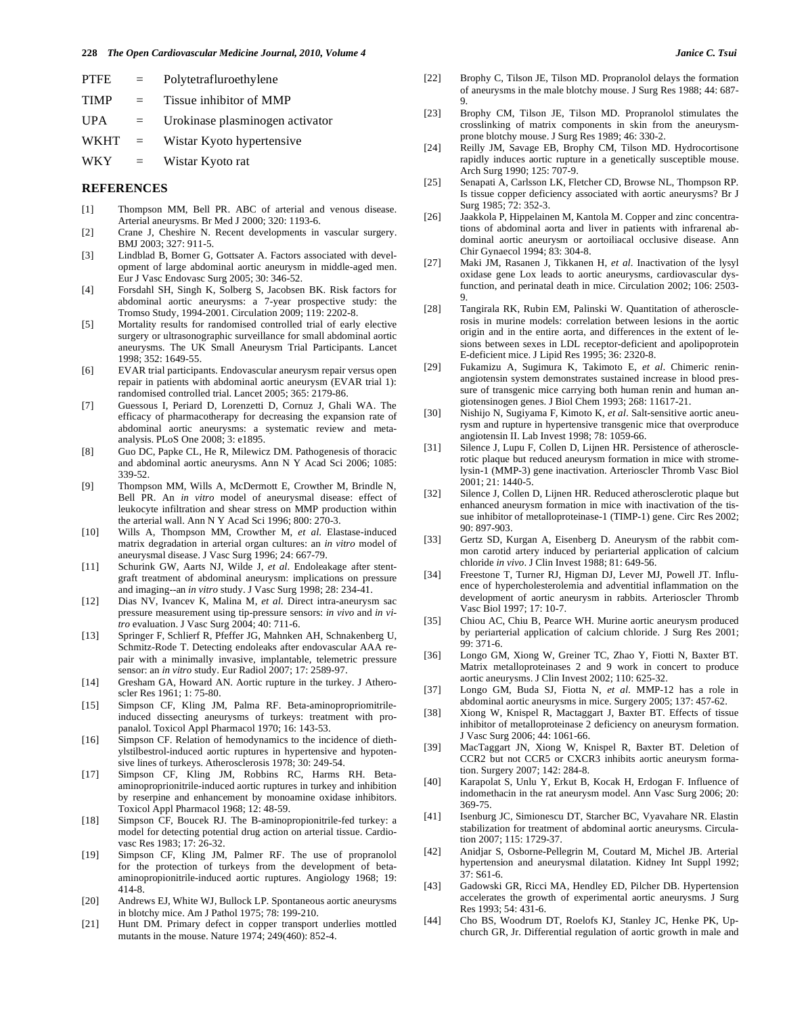| <b>PTFE</b> | $=$                | Polytetrafluroethylene          |
|-------------|--------------------|---------------------------------|
| <b>TIMP</b> | $=$                | Tissue inhibitor of MMP         |
| <b>UPA</b>  | $=$                | Urokinase plasminogen activator |
| <b>WKHT</b> | $=$                | Wistar Kyoto hypertensive       |
| <b>WKY</b>  | $=$ $\overline{ }$ | Wistar Kyoto rat                |

# **REFERENCES**

- [1] Thompson MM, Bell PR. ABC of arterial and venous disease. Arterial aneurysms. Br Med J 2000; 320: 1193-6.
- [2] Crane J, Cheshire N. Recent developments in vascular surgery. BMJ 2003; 327: 911-5.
- [3] Lindblad B, Borner G, Gottsater A. Factors associated with development of large abdominal aortic aneurysm in middle-aged men. Eur J Vasc Endovasc Surg 2005; 30: 346-52.
- [4] Forsdahl SH, Singh K, Solberg S, Jacobsen BK. Risk factors for abdominal aortic aneurysms: a 7-year prospective study: the Tromso Study, 1994-2001. Circulation 2009; 119: 2202-8.
- [5] Mortality results for randomised controlled trial of early elective surgery or ultrasonographic surveillance for small abdominal aortic aneurysms. The UK Small Aneurysm Trial Participants. Lancet 1998; 352: 1649-55.
- [6] EVAR trial participants. Endovascular aneurysm repair versus open repair in patients with abdominal aortic aneurysm (EVAR trial 1): randomised controlled trial. Lancet 2005; 365: 2179-86.
- [7] Guessous I, Periard D, Lorenzetti D, Cornuz J, Ghali WA. The efficacy of pharmacotherapy for decreasing the expansion rate of abdominal aortic aneurysms: a systematic review and metaanalysis. PLoS One 2008; 3: e1895.
- [8] Guo DC, Papke CL, He R, Milewicz DM. Pathogenesis of thoracic and abdominal aortic aneurysms. Ann N Y Acad Sci 2006; 1085: 339-52.
- [9] Thompson MM, Wills A, McDermott E, Crowther M, Brindle N, Bell PR. An *in vitro* model of aneurysmal disease: effect of leukocyte infiltration and shear stress on MMP production within the arterial wall. Ann N Y Acad Sci 1996; 800: 270-3.
- [10] Wills A, Thompson MM, Crowther M, *et al*. Elastase-induced matrix degradation in arterial organ cultures: an *in vitro* model of aneurysmal disease. J Vasc Surg 1996; 24: 667-79.
- [11] Schurink GW, Aarts NJ, Wilde J, *et al*. Endoleakage after stentgraft treatment of abdominal aneurysm: implications on pressure and imaging--an *in vitro* study. J Vasc Surg 1998; 28: 234-41.
- [12] Dias NV, Ivancev K, Malina M, *et al*. Direct intra-aneurysm sac pressure measurement using tip-pressure sensors: *in vivo* and *in vitro* evaluation. J Vasc Surg 2004; 40: 711-6.
- [13] Springer F, Schlierf R, Pfeffer JG, Mahnken AH, Schnakenberg U, Schmitz-Rode T. Detecting endoleaks after endovascular AAA repair with a minimally invasive, implantable, telemetric pressure sensor: an *in vitro* study. Eur Radiol 2007; 17: 2589-97.
- [14] Gresham GA, Howard AN. Aortic rupture in the turkey. J Atheroscler Res 1961; 1: 75-80.
- [15] Simpson CF, Kling JM, Palma RF. Beta-aminopropriomitrileinduced dissecting aneurysms of turkeys: treatment with propanalol. Toxicol Appl Pharmacol 1970; 16: 143-53.
- [16] Simpson CF. Relation of hemodynamics to the incidence of diethylstilbestrol-induced aortic ruptures in hypertensive and hypotensive lines of turkeys. Atherosclerosis 1978; 30: 249-54.
- [17] Simpson CF, Kling JM, Robbins RC, Harms RH. Betaaminoproprionitrile-induced aortic ruptures in turkey and inhibition by reserpine and enhancement by monoamine oxidase inhibitors. Toxicol Appl Pharmacol 1968; 12: 48-59.
- [18] Simpson CF, Boucek RJ. The B-aminopropionitrile-fed turkey: a model for detecting potential drug action on arterial tissue. Cardiovasc Res 1983; 17: 26-32.
- [19] Simpson CF, Kling JM, Palmer RF. The use of propranolol for the protection of turkeys from the development of betaaminopropionitrile-induced aortic ruptures. Angiology 1968; 19: 414-8.
- [20] Andrews EJ, White WJ, Bullock LP. Spontaneous aortic aneurysms in blotchy mice. Am J Pathol 1975; 78: 199-210.
- [21] Hunt DM. Primary defect in copper transport underlies mottled mutants in the mouse. Nature 1974; 249(460): 852-4.
- [22] Brophy C, Tilson JE, Tilson MD. Propranolol delays the formation of aneurysms in the male blotchy mouse. J Surg Res 1988; 44: 687- 9.
- [23] Brophy CM, Tilson JE, Tilson MD. Propranolol stimulates the crosslinking of matrix components in skin from the aneurysmprone blotchy mouse. J Surg Res 1989; 46: 330-2.
- [24] Reilly JM, Savage EB, Brophy CM, Tilson MD. Hydrocortisone rapidly induces aortic rupture in a genetically susceptible mouse. Arch Surg 1990; 125: 707-9.
- [25] Senapati A, Carlsson LK, Fletcher CD, Browse NL, Thompson RP. Is tissue copper deficiency associated with aortic aneurysms? Br J Surg 1985; 72: 352-3.
- [26] Jaakkola P, Hippelainen M, Kantola M. Copper and zinc concentrations of abdominal aorta and liver in patients with infrarenal abdominal aortic aneurysm or aortoiliacal occlusive disease. Ann Chir Gynaecol 1994; 83: 304-8.
- [27] Maki JM, Rasanen J, Tikkanen H, *et al*. Inactivation of the lysyl oxidase gene Lox leads to aortic aneurysms, cardiovascular dysfunction, and perinatal death in mice. Circulation 2002; 106: 2503- 9.
- [28] Tangirala RK, Rubin EM, Palinski W. Quantitation of atherosclerosis in murine models: correlation between lesions in the aortic origin and in the entire aorta, and differences in the extent of lesions between sexes in LDL receptor-deficient and apolipoprotein E-deficient mice. J Lipid Res 1995; 36: 2320-8.
- [29] Fukamizu A, Sugimura K, Takimoto E, *et al*. Chimeric reninangiotensin system demonstrates sustained increase in blood pressure of transgenic mice carrying both human renin and human angiotensinogen genes. J Biol Chem 1993; 268: 11617-21.
- [30] Nishijo N, Sugiyama F, Kimoto K, *et al*. Salt-sensitive aortic aneurysm and rupture in hypertensive transgenic mice that overproduce angiotensin II. Lab Invest 1998; 78: 1059-66.
- [31] Silence J, Lupu F, Collen D, Lijnen HR. Persistence of atherosclerotic plaque but reduced aneurysm formation in mice with stromelysin-1 (MMP-3) gene inactivation. Arterioscler Thromb Vasc Biol 2001; 21: 1440-5.
- [32] Silence J, Collen D, Lijnen HR. Reduced atherosclerotic plaque but enhanced aneurysm formation in mice with inactivation of the tissue inhibitor of metalloproteinase-1 (TIMP-1) gene. Circ Res 2002; 90: 897-903.
- [33] Gertz SD, Kurgan A, Eisenberg D. Aneurysm of the rabbit common carotid artery induced by periarterial application of calcium chloride *in vivo*. J Clin Invest 1988; 81: 649-56.
- [34] Freestone T, Turner RJ, Higman DJ, Lever MJ, Powell JT. Influence of hypercholesterolemia and adventitial inflammation on the development of aortic aneurysm in rabbits. Arterioscler Thromb Vasc Biol 1997; 17: 10-7.
- [35] Chiou AC, Chiu B, Pearce WH. Murine aortic aneurysm produced by periarterial application of calcium chloride. J Surg Res 2001; 99: 371-6.
- [36] Longo GM, Xiong W, Greiner TC, Zhao Y, Fiotti N, Baxter BT. Matrix metalloproteinases 2 and 9 work in concert to produce aortic aneurysms. J Clin Invest 2002; 110: 625-32.
- [37] Longo GM, Buda SJ, Fiotta N, *et al*. MMP-12 has a role in abdominal aortic aneurysms in mice. Surgery 2005; 137: 457-62.
- [38] Xiong W, Knispel R, Mactaggart J, Baxter BT. Effects of tissue inhibitor of metalloproteinase 2 deficiency on aneurysm formation. J Vasc Surg 2006; 44: 1061-66.
- [39] MacTaggart JN, Xiong W, Knispel R, Baxter BT. Deletion of CCR2 but not CCR5 or CXCR3 inhibits aortic aneurysm formation. Surgery 2007; 142: 284-8.
- [40] Karapolat S, Unlu Y, Erkut B, Kocak H, Erdogan F. Influence of indomethacin in the rat aneurysm model. Ann Vasc Surg 2006; 20: 369-75.
- [41] Isenburg JC, Simionescu DT, Starcher BC, Vyavahare NR. Elastin stabilization for treatment of abdominal aortic aneurysms. Circulation 2007; 115: 1729-37.
- [42] Anidjar S, Osborne-Pellegrin M, Coutard M, Michel JB. Arterial hypertension and aneurysmal dilatation. Kidney Int Suppl 1992; 37: S61-6.
- [43] Gadowski GR, Ricci MA, Hendley ED, Pilcher DB. Hypertension accelerates the growth of experimental aortic aneurysms. J Surg Res 1993; 54: 431-6.
- [44] Cho BS, Woodrum DT, Roelofs KJ, Stanley JC, Henke PK, Upchurch GR, Jr. Differential regulation of aortic growth in male and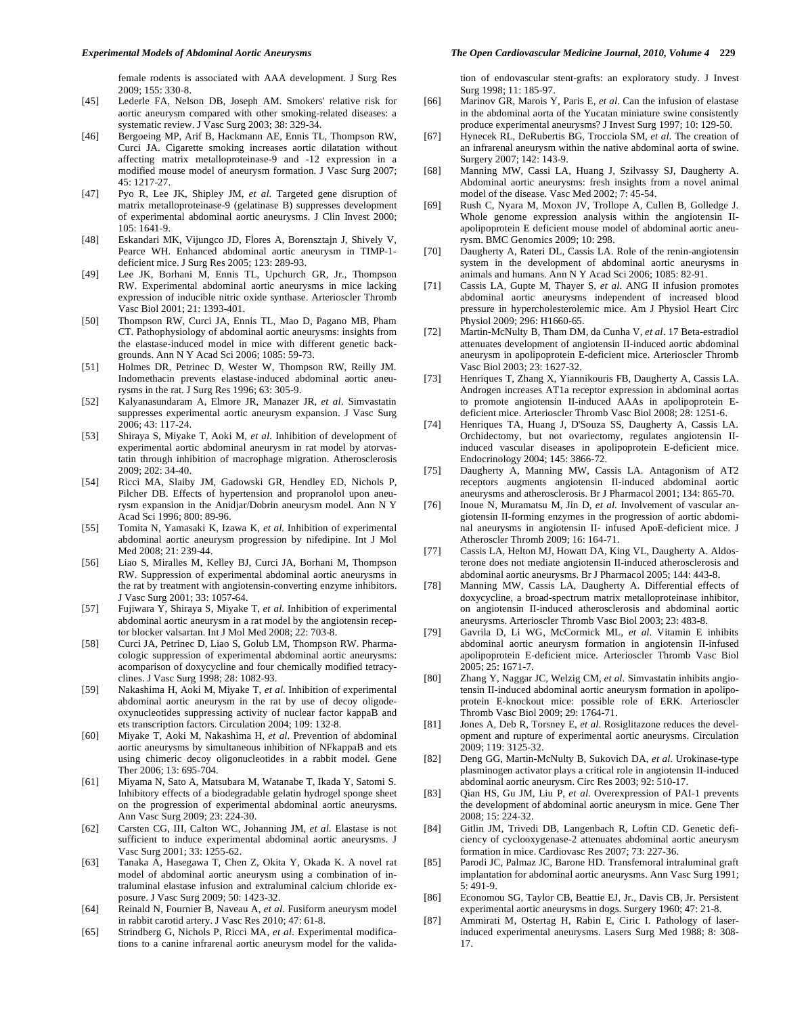### *Experimental Models of Abdominal Aortic Aneurysms The Open Cardiovascular Medicine Journal, 2010, Volume 4* **229**

female rodents is associated with AAA development. J Surg Res 2009; 155: 330-8.

- [45] Lederle FA, Nelson DB, Joseph AM. Smokers' relative risk for aortic aneurysm compared with other smoking-related diseases: a systematic review. J Vasc Surg 2003; 38: 329-34.
- [46] Bergoeing MP, Arif B, Hackmann AE, Ennis TL, Thompson RW, Curci JA. Cigarette smoking increases aortic dilatation without affecting matrix metalloproteinase-9 and -12 expression in a modified mouse model of aneurysm formation. J Vasc Surg 2007; 45: 1217-27.
- [47] Pyo R, Lee JK, Shipley JM, *et al*. Targeted gene disruption of matrix metalloproteinase-9 (gelatinase B) suppresses development of experimental abdominal aortic aneurysms. J Clin Invest 2000; 105: 1641-9.
- [48] Eskandari MK, Vijungco JD, Flores A, Borensztajn J, Shively V, Pearce WH. Enhanced abdominal aortic aneurysm in TIMP-1 deficient mice. J Surg Res 2005; 123: 289-93.
- [49] Lee JK, Borhani M, Ennis TL, Upchurch GR, Jr., Thompson RW. Experimental abdominal aortic aneurysms in mice lacking expression of inducible nitric oxide synthase. Arterioscler Thromb Vasc Biol 2001; 21: 1393-401.
- [50] Thompson RW, Curci JA, Ennis TL, Mao D, Pagano MB, Pham CT. Pathophysiology of abdominal aortic aneurysms: insights from the elastase-induced model in mice with different genetic backgrounds. Ann N Y Acad Sci 2006; 1085: 59-73.
- [51] Holmes DR, Petrinec D, Wester W, Thompson RW, Reilly JM. Indomethacin prevents elastase-induced abdominal aortic aneurysms in the rat. J Surg Res 1996; 63: 305-9.
- [52] Kalyanasundaram A, Elmore JR, Manazer JR, *et al*. Simvastatin suppresses experimental aortic aneurysm expansion. J Vasc Surg 2006; 43: 117-24.
- [53] Shiraya S, Miyake T, Aoki M, *et al*. Inhibition of development of experimental aortic abdominal aneurysm in rat model by atorvastatin through inhibition of macrophage migration. Atherosclerosis 2009; 202: 34-40.
- [54] Ricci MA, Slaiby JM, Gadowski GR, Hendley ED, Nichols P, Pilcher DB. Effects of hypertension and propranolol upon aneurysm expansion in the Anidjar/Dobrin aneurysm model. Ann N Y Acad Sci 1996; 800: 89-96.
- [55] Tomita N, Yamasaki K, Izawa K, *et al*. Inhibition of experimental abdominal aortic aneurysm progression by nifedipine. Int J Mol Med 2008; 21: 239-44.
- [56] Liao S, Miralles M, Kelley BJ, Curci JA, Borhani M, Thompson RW. Suppression of experimental abdominal aortic aneurysms in the rat by treatment with angiotensin-converting enzyme inhibitors. J Vasc Surg 2001; 33: 1057-64.
- [57] Fujiwara Y, Shiraya S, Miyake T, *et al*. Inhibition of experimental abdominal aortic aneurysm in a rat model by the angiotensin receptor blocker valsartan. Int J Mol Med 2008; 22: 703-8.
- [58] Curci JA, Petrinec D, Liao S, Golub LM, Thompson RW. Pharmacologic suppression of experimental abdominal aortic aneurysms: acomparison of doxycycline and four chemically modified tetracyclines. J Vasc Surg 1998; 28: 1082-93.
- [59] Nakashima H, Aoki M, Miyake T, *et al*. Inhibition of experimental abdominal aortic aneurysm in the rat by use of decoy oligodeoxynucleotides suppressing activity of nuclear factor kappaB and ets transcription factors. Circulation 2004; 109: 132-8.
- [60] Miyake T, Aoki M, Nakashima H, *et al*. Prevention of abdominal aortic aneurysms by simultaneous inhibition of NFkappaB and ets using chimeric decoy oligonucleotides in a rabbit model. Gene Ther 2006; 13: 695-704.
- [61] Miyama N, Sato A, Matsubara M, Watanabe T, Ikada Y, Satomi S. Inhibitory effects of a biodegradable gelatin hydrogel sponge sheet on the progression of experimental abdominal aortic aneurysms. Ann Vasc Surg 2009; 23: 224-30.
- [62] Carsten CG, III, Calton WC, Johanning JM, *et al*. Elastase is not sufficient to induce experimental abdominal aortic aneurysms. J Vasc Surg 2001; 33: 1255-62.
- [63] Tanaka A, Hasegawa T, Chen Z, Okita Y, Okada K. A novel rat model of abdominal aortic aneurysm using a combination of intraluminal elastase infusion and extraluminal calcium chloride exposure. J Vasc Surg 2009; 50: 1423-32.
- [64] Reinald N, Fournier B, Naveau A, *et al*. Fusiform aneurysm model in rabbit carotid artery. J Vasc Res 2010; 47: 61-8.
- [65] Strindberg G, Nichols P, Ricci MA, *et al*. Experimental modifications to a canine infrarenal aortic aneurysm model for the valida-

tion of endovascular stent-grafts: an exploratory study. J Invest Surg 1998; 11: 185-97.

- [66] Marinov GR, Marois Y, Paris E, *et al*. Can the infusion of elastase in the abdominal aorta of the Yucatan miniature swine consistently produce experimental aneurysms? J Invest Surg 1997; 10: 129-50.
- [67] Hynecek RL, DeRubertis BG, Trocciola SM, *et al*. The creation of an infrarenal aneurysm within the native abdominal aorta of swine. Surgery 2007; 142: 143-9.
- [68] Manning MW, Cassi LA, Huang J, Szilvassy SJ, Daugherty A. Abdominal aortic aneurysms: fresh insights from a novel animal model of the disease. Vasc Med 2002; 7: 45-54.
- [69] Rush C, Nyara M, Moxon JV, Trollope A, Cullen B, Golledge J. Whole genome expression analysis within the angiotensin IIapolipoprotein E deficient mouse model of abdominal aortic aneurysm. BMC Genomics 2009; 10: 298.
- [70] Daugherty A, Rateri DL, Cassis LA. Role of the renin-angiotensin system in the development of abdominal aortic aneurysms in animals and humans. Ann N Y Acad Sci 2006; 1085: 82-91.
- [71] Cassis LA, Gupte M, Thayer S, *et al*. ANG II infusion promotes abdominal aortic aneurysms independent of increased blood pressure in hypercholesterolemic mice. Am J Physiol Heart Circ Physiol 2009; 296: H1660-65.
- [72] Martin-McNulty B, Tham DM, da Cunha V, *et al*. 17 Beta-estradiol attenuates development of angiotensin II-induced aortic abdominal aneurysm in apolipoprotein E-deficient mice. Arterioscler Thromb Vasc Biol 2003; 23: 1627-32.
- [73] Henriques T, Zhang X, Yiannikouris FB, Daugherty A, Cassis LA. Androgen increases AT1a receptor expression in abdominal aortas to promote angiotensin II-induced AAAs in apolipoprotein Edeficient mice. Arterioscler Thromb Vasc Biol 2008; 28: 1251-6.
- [74] Henriques TA, Huang J, D'Souza SS, Daugherty A, Cassis LA. Orchidectomy, but not ovariectomy, regulates angiotensin IIinduced vascular diseases in apolipoprotein E-deficient mice. Endocrinology 2004; 145: 3866-72.
- [75] Daugherty A, Manning MW, Cassis LA. Antagonism of AT2 receptors augments angiotensin II-induced abdominal aortic aneurysms and atherosclerosis. Br J Pharmacol 2001; 134: 865-70.
- [76] Inoue N, Muramatsu M, Jin D, *et al*. Involvement of vascular angiotensin II-forming enzymes in the progression of aortic abdominal aneurysms in angiotensin II- infused ApoE-deficient mice. J Atheroscler Thromb 2009; 16: 164-71.
- [77] Cassis LA, Helton MJ, Howatt DA, King VL, Daugherty A. Aldosterone does not mediate angiotensin II-induced atherosclerosis and abdominal aortic aneurysms. Br J Pharmacol 2005; 144: 443-8.
- [78] Manning MW, Cassis LA, Daugherty A. Differential effects of doxycycline, a broad-spectrum matrix metalloproteinase inhibitor, on angiotensin II-induced atherosclerosis and abdominal aortic aneurysms. Arterioscler Thromb Vasc Biol 2003; 23: 483-8.
- [79] Gavrila D, Li WG, McCormick ML, *et al*. Vitamin E inhibits abdominal aortic aneurysm formation in angiotensin II-infused apolipoprotein E-deficient mice. Arterioscler Thromb Vasc Biol 2005; 25: 1671-7.
- [80] Zhang Y, Naggar JC, Welzig CM, *et al*. Simvastatin inhibits angiotensin II-induced abdominal aortic aneurysm formation in apolipoprotein E-knockout mice: possible role of ERK. Arterioscler Thromb Vasc Biol 2009; 29: 1764-71.
- [81] Jones A, Deb R, Torsney E, *et al*. Rosiglitazone reduces the development and rupture of experimental aortic aneurysms. Circulation 2009; 119: 3125-32.
- [82] Deng GG, Martin-McNulty B, Sukovich DA, *et al*. Urokinase-type plasminogen activator plays a critical role in angiotensin II-induced abdominal aortic aneurysm. Circ Res 2003; 92: 510-17.
- [83] Qian HS, Gu JM, Liu P, *et al*. Overexpression of PAI-1 prevents the development of abdominal aortic aneurysm in mice. Gene Ther 2008; 15: 224-32.
- [84] Gitlin JM, Trivedi DB, Langenbach R, Loftin CD. Genetic deficiency of cyclooxygenase-2 attenuates abdominal aortic aneurysm formation in mice. Cardiovasc Res 2007; 73: 227-36.
- [85] Parodi JC, Palmaz JC, Barone HD. Transfemoral intraluminal graft implantation for abdominal aortic aneurysms. Ann Vasc Surg 1991;  $5:491-9$ .
- [86] Economou SG, Taylor CB, Beattie EJ, Jr., Davis CB, Jr. Persistent experimental aortic aneurysms in dogs. Surgery 1960; 47: 21-8.
- [87] Ammirati M, Ostertag H, Rabin E, Ciric I. Pathology of laserinduced experimental aneurysms. Lasers Surg Med 1988; 8: 308- 17.